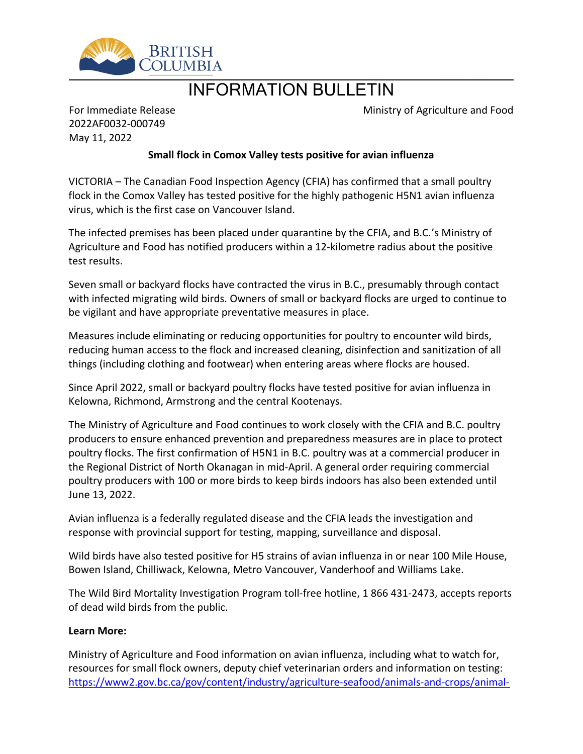

## INFORMATION BULLETIN

Ministry of Agriculture and Food

For Immediate Release 2022AF0032-000749 May 11, 2022

## **Small flock in Comox Valley tests positive for avian influenza**

VICTORIA – The Canadian Food Inspection Agency (CFIA) has confirmed that a small poultry flock in the Comox Valley has tested positive for the highly pathogenic H5N1 avian influenza virus, which is the first case on Vancouver Island.

The infected premises has been placed under quarantine by the CFIA, and B.C.'s Ministry of Agriculture and Food has notified producers within a 12-kilometre radius about the positive test results.

Seven small or backyard flocks have contracted the virus in B.C., presumably through contact with infected migrating wild birds. Owners of small or backyard flocks are urged to continue to be vigilant and have appropriate preventative measures in place.

Measures include eliminating or reducing opportunities for poultry to encounter wild birds, reducing human access to the flock and increased cleaning, disinfection and sanitization of all things (including clothing and footwear) when entering areas where flocks are housed.

Since April 2022, small or backyard poultry flocks have tested positive for avian influenza in Kelowna, Richmond, Armstrong and the central Kootenays.

The Ministry of Agriculture and Food continues to work closely with the CFIA and B.C. poultry producers to ensure enhanced prevention and preparedness measures are in place to protect poultry flocks. The first confirmation of H5N1 in B.C. poultry was at a commercial producer in the Regional District of North Okanagan in mid-April. A general order requiring commercial poultry producers with 100 or more birds to keep birds indoors has also been extended until June 13, 2022.

Avian influenza is a federally regulated disease and the CFIA leads the investigation and response with provincial support for testing, mapping, surveillance and disposal.

Wild birds have also tested positive for H5 strains of avian influenza in or near 100 Mile House, Bowen Island, Chilliwack, Kelowna, Metro Vancouver, Vanderhoof and Williams Lake.

The Wild Bird Mortality Investigation Program toll-free hotline, 1 866 431-2473, accepts reports of dead wild birds from the public.

## **Learn More:**

Ministry of Agriculture and Food information on avian influenza, including what to watch for, resources for small flock owners, deputy chief veterinarian orders and information on testing: [https://www2.gov.bc.ca/gov/content/industry/agriculture-seafood/animals-and-crops/animal-](https://www2.gov.bc.ca/gov/content/industry/agriculture-seafood/animals-and-crops/animal-health/reportable-notifiable-diseases/avian-influenza-ai)